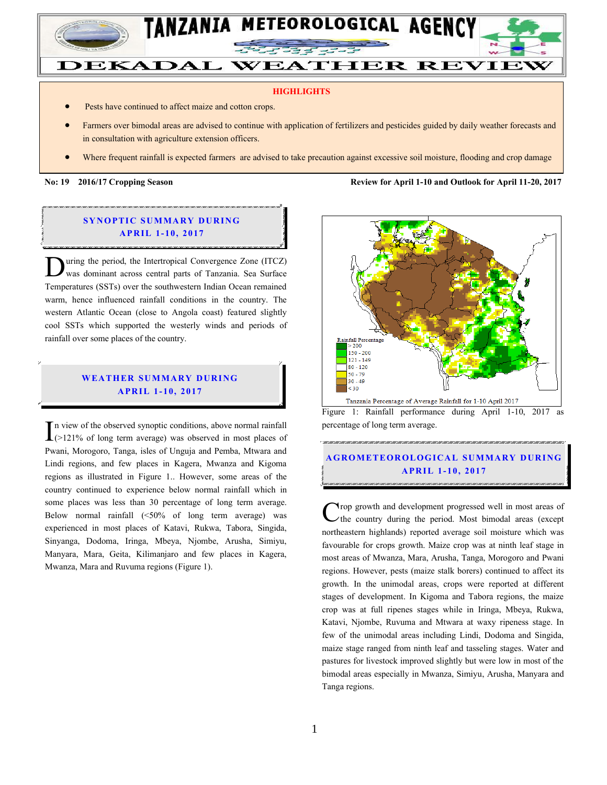

#### **HIGHLIGHTS**

- Pests have continued to affect maize and cotton crops.
- Farmers over bimodal areas are advised to continue with application of fertilizers and pesticides guided by daily weather forecasts and in consultation with agriculture extension officers.
- Where frequent rainfall is expected farmers are advised to take precaution against excessive soil moisture, flooding and crop damage

**No: 19 2016/17 Cropping Season Review for April 1-10 and Outlook for April 11-20, 2017**

### **SYNOPTIC SUMMARY DURING A PR IL 1- 10, 2017**

uring the period, the Intertropical Convergence Zone (ITCZ) was dominant across central parts of Tanzania. Sea Surface Temperatures (SSTs) over the southwestern Indian Ocean remained warm, hence influenced rainfall conditions in the country. The western Atlantic Ocean (close to Angola coast) featured slightly cool SSTs which supported the westerly winds and periods of rainfall over some places of the country.  $\overline{D}$ 

### **WEATHER SUMMARY DURING A PR IL 1- 10, 2017**

n view of the observed synoptic conditions, above normal rainfall In view of the observed synoptic conditions, above normal rainfall<br>  $(>121\%$  of long term average) was observed in most places of Pwani, Morogoro, Tanga, isles of Unguja and Pemba, Mtwara and Lindi regions, and few places in Kagera, Mwanza and Kigoma regions as illustrated in Figure 1.. However, some areas of the country continued to experience below normal rainfall which in some places was less than 30 percentage of long term average. Below normal rainfall (<50% of long term average) was experienced in most places of Katavi, Rukwa, Tabora, Singida, Sinyanga, Dodoma, Iringa, Mbeya, Njombe, Arusha, Simiyu, Manyara, Mara, Geita, Kilimanjaro and few places in Kagera, Mwanza, Mara and Ruvuma regions (Figure 1).



Figure 1: Rainfall performance during April 1-10, 2017 as percentage of long term average.

## **A G RO METEO R O LOG ICA L SU MMA RY D UR ING A PR IL 1 - 10, 2017**

rop growth and development progressed well in most areas of the country during the period. Most bimodal areas (except northeastern highlands) reported average soil moisture which was favourable for crops growth. Maize crop was at ninth leaf stage in most areas of Mwanza, Mara, Arusha, Tanga, Morogoro and Pwani regions. However, pests (maize stalk borers) continued to affect its growth. In the unimodal areas, crops were reported at different stages of development. In Kigoma and Tabora regions, the maize crop was at full ripenes stages while in Iringa, Mbeya, Rukwa, Katavi, Njombe, Ruvuma and Mtwara at waxy ripeness stage. In few of the unimodal areas including Lindi, Dodoma and Singida, maize stage ranged from ninth leaf and tasseling stages. Water and pastures for livestock improved slightly but were low in most of the bimodal areas especially in Mwanza, Simiyu, Arusha, Manyara and Tanga regions. C